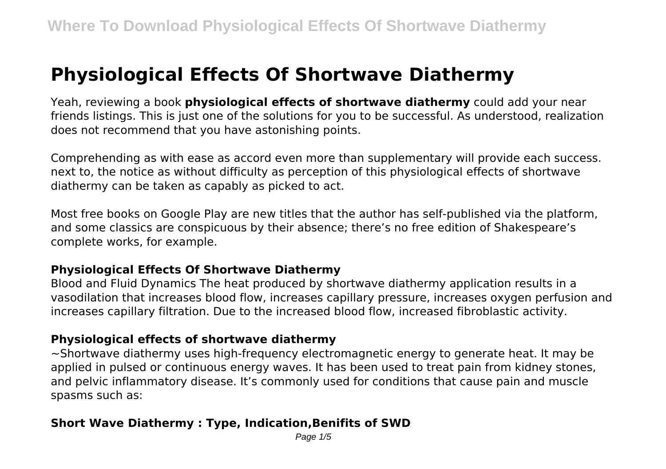# **Physiological Effects Of Shortwave Diathermy**

Yeah, reviewing a book **physiological effects of shortwave diathermy** could add your near friends listings. This is just one of the solutions for you to be successful. As understood, realization does not recommend that you have astonishing points.

Comprehending as with ease as accord even more than supplementary will provide each success. next to, the notice as without difficulty as perception of this physiological effects of shortwave diathermy can be taken as capably as picked to act.

Most free books on Google Play are new titles that the author has self-published via the platform, and some classics are conspicuous by their absence; there's no free edition of Shakespeare's complete works, for example.

# **Physiological Effects Of Shortwave Diathermy**

Blood and Fluid Dynamics The heat produced by shortwave diathermy application results in a vasodilation that increases blood flow, increases capillary pressure, increases oxygen perfusion and increases capillary filtration. Due to the increased blood flow, increased fibroblastic activity.

# **Physiological effects of shortwave diathermy**

 $\sim$ Shortwave diathermy uses high-frequency electromagnetic energy to generate heat. It may be applied in pulsed or continuous energy waves. It has been used to treat pain from kidney stones, and pelvic inflammatory disease. It's commonly used for conditions that cause pain and muscle spasms such as:

# **Short Wave Diathermy : Type, Indication,Benifits of SWD**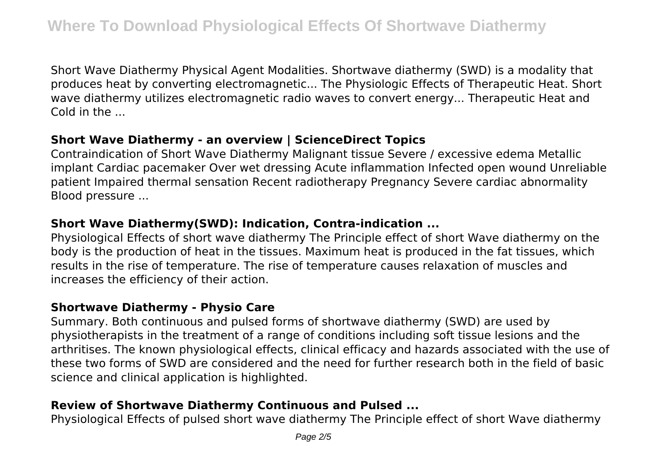Short Wave Diathermy Physical Agent Modalities. Shortwave diathermy (SWD) is a modality that produces heat by converting electromagnetic... The Physiologic Effects of Therapeutic Heat. Short wave diathermy utilizes electromagnetic radio waves to convert energy... Therapeutic Heat and Cold in the ...

# **Short Wave Diathermy - an overview | ScienceDirect Topics**

Contraindication of Short Wave Diathermy Malignant tissue Severe / excessive edema Metallic implant Cardiac pacemaker Over wet dressing Acute inflammation Infected open wound Unreliable patient Impaired thermal sensation Recent radiotherapy Pregnancy Severe cardiac abnormality Blood pressure ...

# **Short Wave Diathermy(SWD): Indication, Contra-indication ...**

Physiological Effects of short wave diathermy The Principle effect of short Wave diathermy on the body is the production of heat in the tissues. Maximum heat is produced in the fat tissues, which results in the rise of temperature. The rise of temperature causes relaxation of muscles and increases the efficiency of their action.

# **Shortwave Diathermy - Physio Care**

Summary. Both continuous and pulsed forms of shortwave diathermy (SWD) are used by physiotherapists in the treatment of a range of conditions including soft tissue lesions and the arthritises. The known physiological effects, clinical efficacy and hazards associated with the use of these two forms of SWD are considered and the need for further research both in the field of basic science and clinical application is highlighted.

# **Review of Shortwave Diathermy Continuous and Pulsed ...**

Physiological Effects of pulsed short wave diathermy The Principle effect of short Wave diathermy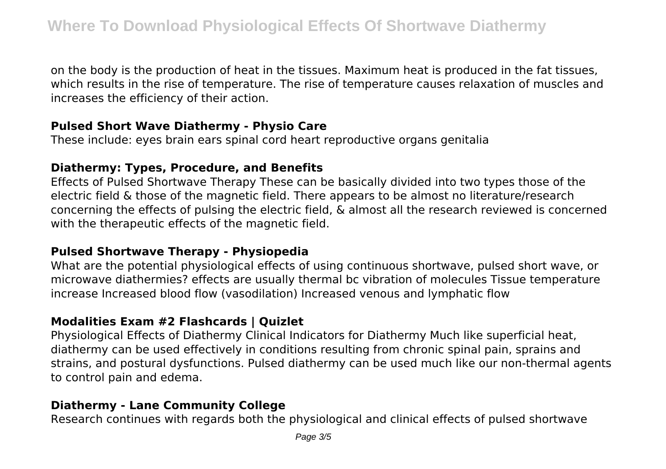on the body is the production of heat in the tissues. Maximum heat is produced in the fat tissues, which results in the rise of temperature. The rise of temperature causes relaxation of muscles and increases the efficiency of their action.

# **Pulsed Short Wave Diathermy - Physio Care**

These include: eyes brain ears spinal cord heart reproductive organs genitalia

# **Diathermy: Types, Procedure, and Benefits**

Effects of Pulsed Shortwave Therapy These can be basically divided into two types those of the electric field & those of the magnetic field. There appears to be almost no literature/research concerning the effects of pulsing the electric field, & almost all the research reviewed is concerned with the therapeutic effects of the magnetic field.

#### **Pulsed Shortwave Therapy - Physiopedia**

What are the potential physiological effects of using continuous shortwave, pulsed short wave, or microwave diathermies? effects are usually thermal bc vibration of molecules Tissue temperature increase Increased blood flow (vasodilation) Increased venous and lymphatic flow

# **Modalities Exam #2 Flashcards | Quizlet**

Physiological Effects of Diathermy Clinical Indicators for Diathermy Much like superficial heat, diathermy can be used effectively in conditions resulting from chronic spinal pain, sprains and strains, and postural dysfunctions. Pulsed diathermy can be used much like our non-thermal agents to control pain and edema.

# **Diathermy - Lane Community College**

Research continues with regards both the physiological and clinical effects of pulsed shortwave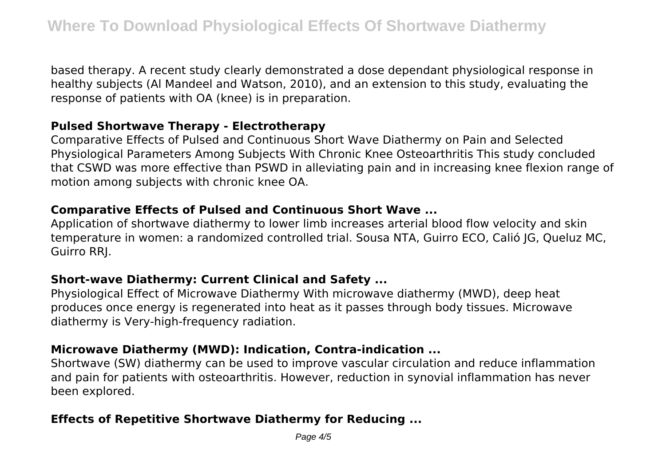based therapy. A recent study clearly demonstrated a dose dependant physiological response in healthy subjects (Al Mandeel and Watson, 2010), and an extension to this study, evaluating the response of patients with OA (knee) is in preparation.

#### **Pulsed Shortwave Therapy - Electrotherapy**

Comparative Effects of Pulsed and Continuous Short Wave Diathermy on Pain and Selected Physiological Parameters Among Subjects With Chronic Knee Osteoarthritis This study concluded that CSWD was more effective than PSWD in alleviating pain and in increasing knee flexion range of motion among subjects with chronic knee OA.

#### **Comparative Effects of Pulsed and Continuous Short Wave ...**

Application of shortwave diathermy to lower limb increases arterial blood flow velocity and skin temperature in women: a randomized controlled trial. Sousa NTA, Guirro ECO, Calió JG, Queluz MC, Guirro RRJ.

# **Short-wave Diathermy: Current Clinical and Safety ...**

Physiological Effect of Microwave Diathermy With microwave diathermy (MWD), deep heat produces once energy is regenerated into heat as it passes through body tissues. Microwave diathermy is Very-high-frequency radiation.

# **Microwave Diathermy (MWD): Indication, Contra-indication ...**

Shortwave (SW) diathermy can be used to improve vascular circulation and reduce inflammation and pain for patients with osteoarthritis. However, reduction in synovial inflammation has never been explored.

# **Effects of Repetitive Shortwave Diathermy for Reducing ...**

Page  $4/5$